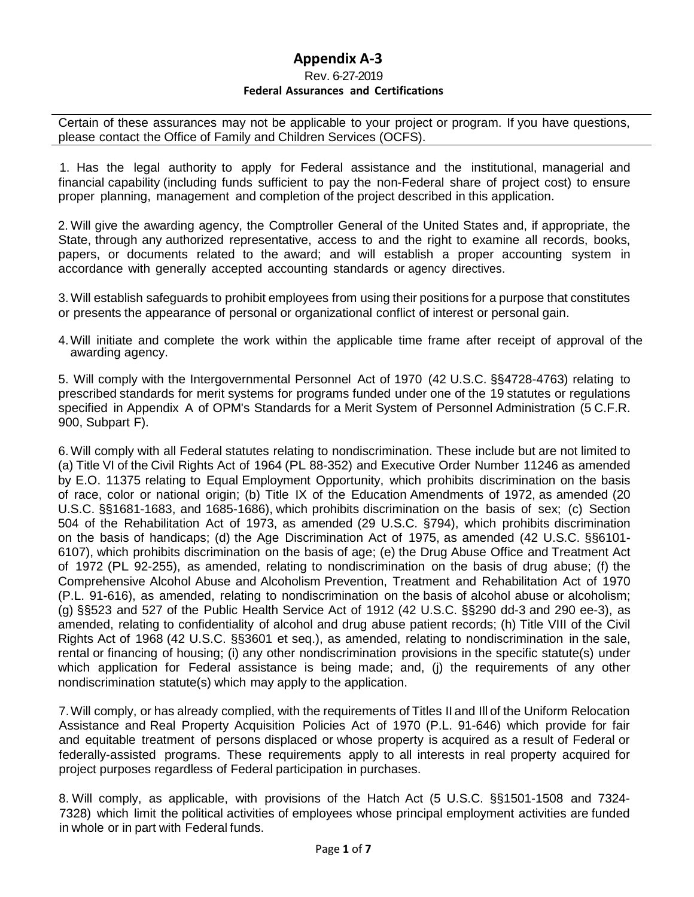## **Appendix A-3**

## Rev. 6-27-2019 **Federal Assurances and Certifications**

Certain of these assurances may not be applicable to your project or program. If you have questions, please contact the Office of Family and Children Services (OCFS).

1. Has the legal authority to apply for Federal assistance and the institutional, managerial and financial capability (including funds sufficient to pay the non-Federal share of project cost) to ensure proper planning, management and completion of the project described in this application.

2. Will give the awarding agency, the Comptroller General of the United States and, if appropriate, the State, through any authorized representative, access to and the right to examine all records, books, papers, or documents related to the award; and will establish a proper accounting system in accordance with generally accepted accounting standards or agency directives.

3. Will establish safeguards to prohibit employees from using their positions for a purpose that constitutes or presents the appearance of personal or organizational conflict of interest or personal gain.

4.Will initiate and complete the work within the applicable time frame after receipt of approval of the awarding agency.

5. Will comply with the Intergovernmental Personnel Act of 1970 (42 U.S.C. §§4728-4763) relating to prescribed standards for merit systems for programs funded under one of the 19 statutes or regulations specified in Appendix A of OPM's Standards for a Merit System of Personnel Administration (5 C.F.R. 900, Subpart F).

6. Will comply with all Federal statutes relating to nondiscrimination. These include but are not limited to (a) Title VI of the Civil Rights Act of 1964 (PL 88-352) and Executive Order Number 11246 as amended by E.O. 11375 relating to Equal Employment Opportunity, which prohibits discrimination on the basis of race, color or national origin; (b) Title IX of the Education Amendments of 1972, as amended (20 U.S.C. §§1681-1683, and 1685-1686), which prohibits discrimination on the basis of sex; (c) Section 504 of the Rehabilitation Act of 1973, as amended (29 U.S.C. §794), which prohibits discrimination on the basis of handicaps; (d) the Age Discrimination Act of 1975, as amended (42 U.S.C. §§6101- 6107), which prohibits discrimination on the basis of age; (e) the Drug Abuse Office and Treatment Act of 1972 (PL 92-255), as amended, relating to nondiscrimination on the basis of drug abuse; (f) the Comprehensive Alcohol Abuse and Alcoholism Prevention, Treatment and Rehabilitation Act of 1970 (P.L. 91-616), as amended, relating to nondiscrimination on the basis of alcohol abuse or alcoholism; (g) §§523 and 527 of the Public Health Service Act of 1912 (42 U.S.C. §§290 dd-3 and 290 ee-3), as amended, relating to confidentiality of alcohol and drug abuse patient records; (h) Title VIII of the Civil Rights Act of 1968 (42 U.S.C. §§3601 et seq.), as amended, relating to nondiscrimination in the sale, rental or financing of housing; (i) any other nondiscrimination provisions in the specific statute(s) under which application for Federal assistance is being made; and, (i) the requirements of any other nondiscrimination statute(s) which may apply to the application.

7.Will comply, or has already complied, with the requirements of Titles II and Ill of the Uniform Relocation Assistance and Real Property Acquisition Policies Act of 1970 (P.L. 91-646) which provide for fair and equitable treatment of persons displaced or whose property is acquired as a result of Federal or federally-assisted programs. These requirements apply to all interests in real property acquired for project purposes regardless of Federal participation in purchases.

8. Will comply, as applicable, with provisions of the Hatch Act (5 U.S.C. §§1501-1508 and 7324- 7328) which limit the political activities of employees whose principal employment activities are funded in whole or in part with Federal funds.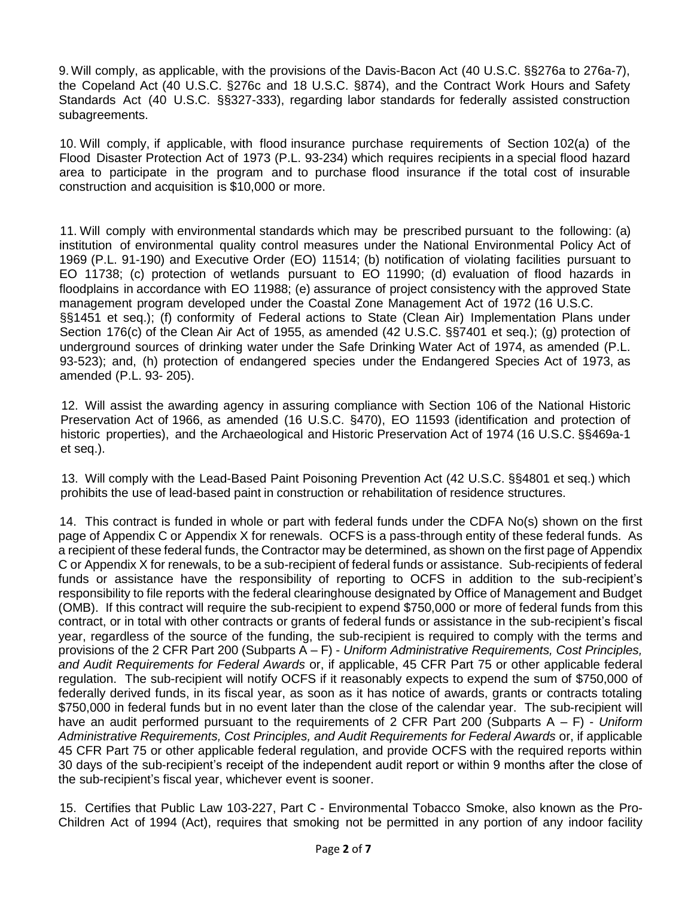9. Will comply, as applicable, with the provisions of the Davis-Bacon Act (40 U.S.C. §§276a to 276a-7), the Copeland Act (40 U.S.C. §276c and 18 U.S.C. §874), and the Contract Work Hours and Safety Standards Act (40 U.S.C. §§327-333), regarding labor standards for federally assisted construction subagreements.

10. Will comply, if applicable, with flood insurance purchase requirements of Section 102(a) of the Flood Disaster Protection Act of 1973 (P.L. 93-234) which requires recipients in a special flood hazard area to participate in the program and to purchase flood insurance if the total cost of insurable construction and acquisition is \$10,000 or more.

11. Will comply with environmental standards which may be prescribed pursuant to the following: (a) institution of environmental quality control measures under the National Environmental Policy Act of 1969 (P.L. 91-190) and Executive Order (EO) 11514; (b) notification of violating facilities pursuant to EO 11738; (c) protection of wetlands pursuant to EO 11990; (d) evaluation of flood hazards in floodplains in accordance with EO 11988; (e) assurance of project consistency with the approved State management program developed under the Coastal Zone Management Act of 1972 (16 U.S.C. §§1451 et seq.); (f) conformity of Federal actions to State (Clean Air) Implementation Plans under Section 176(c) of the Clean Air Act of 1955, as amended (42 U.S.C. §§7401 et seq.); (g) protection of underground sources of drinking water under the Safe Drinking Water Act of 1974, as amended (P.L. 93-523); and, (h) protection of endangered species under the Endangered Species Act of 1973, as amended (P.L. 93- 205).

12. Will assist the awarding agency in assuring compliance with Section 106 of the National Historic Preservation Act of 1966, as amended (16 U.S.C. §470), EO 11593 (identification and protection of historic properties), and the Archaeological and Historic Preservation Act of 1974 (16 U.S.C. §§469a-1 et seq.).

13. Will comply with the Lead-Based Paint Poisoning Prevention Act (42 U.S.C. §§4801 et seq.) which prohibits the use of lead-based paint in construction or rehabilitation of residence structures.

14. This contract is funded in whole or part with federal funds under the CDFA No(s) shown on the first page of Appendix C or Appendix X for renewals. OCFS is a pass-through entity of these federal funds. As a recipient of these federal funds, the Contractor may be determined, as shown on the first page of Appendix C or Appendix X for renewals, to be a sub-recipient of federal funds or assistance. Sub-recipients of federal funds or assistance have the responsibility of reporting to OCFS in addition to the sub-recipient's responsibility to file reports with the federal clearinghouse designated by Office of Management and Budget (OMB). If this contract will require the sub-recipient to expend \$750,000 or more of federal funds from this contract, or in total with other contracts or grants of federal funds or assistance in the sub-recipient's fiscal year, regardless of the source of the funding, the sub-recipient is required to comply with the terms and provisions of the 2 CFR Part 200 (Subparts A – F) - *Uniform Administrative Requirements, Cost Principles, and Audit Requirements for Federal Awards* or, if applicable, 45 CFR Part 75 or other applicable federal regulation. The sub-recipient will notify OCFS if it reasonably expects to expend the sum of \$750,000 of federally derived funds, in its fiscal year, as soon as it has notice of awards, grants or contracts totaling \$750,000 in federal funds but in no event later than the close of the calendar year. The sub-recipient will have an audit performed pursuant to the requirements of 2 CFR Part 200 (Subparts A – F) - *Uniform Administrative Requirements, Cost Principles, and Audit Requirements for Federal Awards* or, if applicable 45 CFR Part 75 or other applicable federal regulation, and provide OCFS with the required reports within 30 days of the sub-recipient's receipt of the independent audit report or within 9 months after the close of the sub-recipient's fiscal year, whichever event is sooner.

15. Certifies that Public Law 103-227, Part C - Environmental Tobacco Smoke, also known as the Pro-Children Act of 1994 (Act), requires that smoking not be permitted in any portion of any indoor facility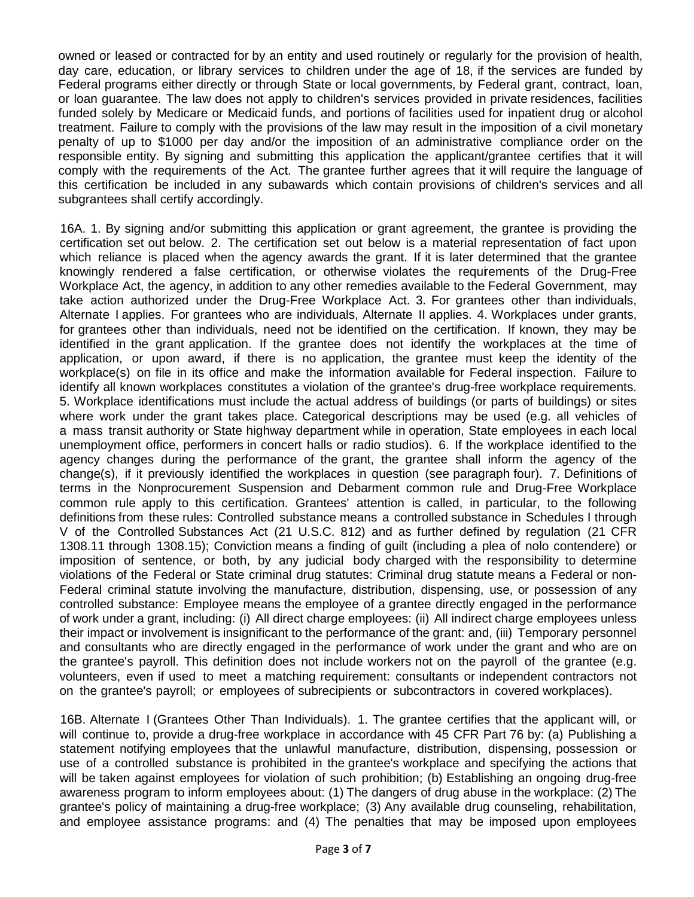owned or leased or contracted for by an entity and used routinely or regularly for the provision of health, day care, education, or library services to children under the age of 18, if the services are funded by Federal programs either directly or through State or local governments, by Federal grant, contract, loan, or loan guarantee. The law does not apply to children's services provided in private residences, facilities funded solely by Medicare or Medicaid funds, and portions of facilities used for inpatient drug or alcohol treatment. Failure to comply with the provisions of the law may result in the imposition of a civil monetary penalty of up to \$1000 per day and/or the imposition of an administrative compliance order on the responsible entity. By signing and submitting this application the applicant/grantee certifies that it will comply with the requirements of the Act. The grantee further agrees that it will require the language of this certification be included in any subawards which contain provisions of children's services and all subgrantees shall certify accordingly.

16A. 1. By signing and/or submitting this application or grant agreement, the grantee is providing the certification set out below. 2. The certification set out below is a material representation of fact upon which reliance is placed when the agency awards the grant. If it is later determined that the grantee knowingly rendered a false certification, or otherwise violates the requirements of the Drug-Free Workplace Act, the agency, in addition to any other remedies available to the Federal Government, may take action authorized under the Drug-Free Workplace Act. 3. For grantees other than individuals, Alternate I applies. For grantees who are individuals, Alternate II applies. 4. Workplaces under grants, for grantees other than individuals, need not be identified on the certification. If known, they may be identified in the grant application. If the grantee does not identify the workplaces at the time of application, or upon award, if there is no application, the grantee must keep the identity of the workplace(s) on file in its office and make the information available for Federal inspection. Failure to identify all known workplaces constitutes a violation of the grantee's drug-free workplace requirements. 5. Workplace identifications must include the actual address of buildings (or parts of buildings) or sites where work under the grant takes place. Categorical descriptions may be used (e.g. all vehicles of a mass transit authority or State highway department while in operation, State employees in each local unemployment office, performers in concert halls or radio studios). 6. If the workplace identified to the agency changes during the performance of the grant, the grantee shall inform the agency of the change(s), if it previously identified the workplaces in question (see paragraph four). 7. Definitions of terms in the Nonprocurement Suspension and Debarment common rule and Drug-Free Workplace common rule apply to this certification. Grantees' attention is called, in particular, to the following definitions from these rules: Controlled substance means a controlled substance in Schedules I through V of the Controlled Substances Act (21 U.S.C. 812) and as further defined by regulation (21 CFR 1308.11 through 1308.15); Conviction means a finding of guilt (including a plea of nolo contendere) or imposition of sentence, or both, by any judicial body charged with the responsibility to determine violations of the Federal or State criminal drug statutes: Criminal drug statute means a Federal or non-Federal criminal statute involving the manufacture, distribution, dispensing, use, or possession of any controlled substance: Employee means the employee of a grantee directly engaged in the performance of work under a grant, including: (i) All direct charge employees: (ii) All indirect charge employees unless their impact or involvement is insignificant to the performance of the grant: and, (iii) Temporary personnel and consultants who are directly engaged in the performance of work under the grant and who are on the grantee's payroll. This definition does not include workers not on the payroll of the grantee (e.g. volunteers, even if used to meet a matching requirement: consultants or independent contractors not on the grantee's payroll; or employees of subrecipients or subcontractors in covered workplaces).

16B. Alternate I (Grantees Other Than Individuals). 1. The grantee certifies that the applicant will, or will continue to, provide a drug-free workplace in accordance with 45 CFR Part 76 by: (a) Publishing a statement notifying employees that the unlawful manufacture, distribution, dispensing, possession or use of a controlled substance is prohibited in the grantee's workplace and specifying the actions that will be taken against employees for violation of such prohibition; (b) Establishing an ongoing drug-free awareness program to inform employees about: (1) The dangers of drug abuse in the workplace: (2) The grantee's policy of maintaining a drug-free workplace; (3) Any available drug counseling, rehabilitation, and employee assistance programs: and (4) The penalties that may be imposed upon employees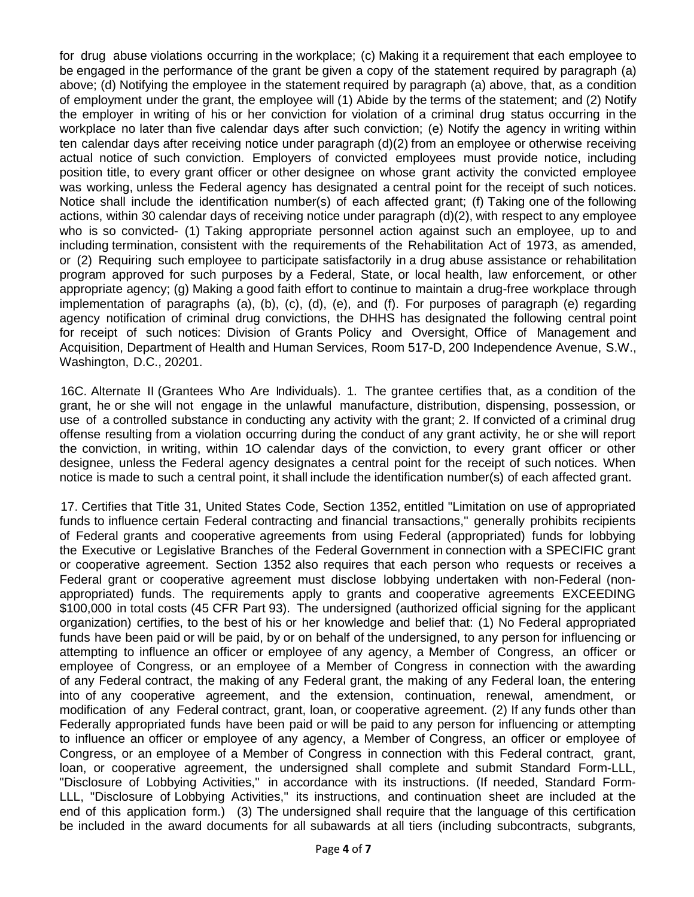for drug abuse violations occurring in the workplace; (c) Making it a requirement that each employee to be engaged in the performance of the grant be given a copy of the statement required by paragraph (a) above; (d) Notifying the employee in the statement required by paragraph (a) above, that, as a condition of employment under the grant, the employee will (1) Abide by the terms of the statement; and (2) Notify the employer in writing of his or her conviction for violation of a criminal drug status occurring in the workplace no later than five calendar days after such conviction; (e) Notify the agency in writing within ten calendar days after receiving notice under paragraph (d)(2) from an employee or otherwise receiving actual notice of such conviction. Employers of convicted employees must provide notice, including position title, to every grant officer or other designee on whose grant activity the convicted employee was working, unless the Federal agency has designated a central point for the receipt of such notices. Notice shall include the identification number(s) of each affected grant; (f) Taking one of the following actions, within 30 calendar days of receiving notice under paragraph (d)(2), with respect to any employee who is so convicted- (1) Taking appropriate personnel action against such an employee, up to and including termination, consistent with the requirements of the Rehabilitation Act of 1973, as amended, or (2) Requiring such employee to participate satisfactorily in a drug abuse assistance or rehabilitation program approved for such purposes by a Federal, State, or local health, law enforcement, or other appropriate agency; (g) Making a good faith effort to continue to maintain a drug-free workplace through implementation of paragraphs (a), (b), (c), (d), (e), and (f). For purposes of paragraph (e) regarding agency notification of criminal drug convictions, the DHHS has designated the following central point for receipt of such notices: Division of Grants Policy and Oversight, Office of Management and Acquisition, Department of Health and Human Services, Room 517-D, 200 Independence Avenue, S.W., Washington, D.C., 20201.

16C. Alternate II (Grantees Who Are Individuals). 1. The grantee certifies that, as a condition of the grant, he or she will not engage in the unlawful manufacture, distribution, dispensing, possession, or use of a controlled substance in conducting any activity with the grant; 2. If convicted of a criminal drug offense resulting from a violation occurring during the conduct of any grant activity, he or she will report the conviction, in writing, within 1O calendar days of the conviction, to every grant officer or other designee, unless the Federal agency designates a central point for the receipt of such notices. When notice is made to such a central point, it shall include the identification number(s) of each affected grant.

17. Certifies that Title 31, United States Code, Section 1352, entitled "Limitation on use of appropriated funds to influence certain Federal contracting and financial transactions," generally prohibits recipients of Federal grants and cooperative agreements from using Federal (appropriated) funds for lobbying the Executive or Legislative Branches of the Federal Government in connection with a SPECIFIC grant or cooperative agreement. Section 1352 also requires that each person who requests or receives a Federal grant or cooperative agreement must disclose lobbying undertaken with non-Federal (nonappropriated) funds. The requirements apply to grants and cooperative agreements EXCEEDING \$100,000 in total costs (45 CFR Part 93). The undersigned (authorized official signing for the applicant organization) certifies, to the best of his or her knowledge and belief that: (1) No Federal appropriated funds have been paid or will be paid, by or on behalf of the undersigned, to any person for influencing or attempting to influence an officer or employee of any agency, a Member of Congress, an officer or employee of Congress, or an employee of a Member of Congress in connection with the awarding of any Federal contract, the making of any Federal grant, the making of any Federal loan, the entering into of any cooperative agreement, and the extension, continuation, renewal, amendment, or modification of any Federal contract, grant, loan, or cooperative agreement. (2) If any funds other than Federally appropriated funds have been paid or will be paid to any person for influencing or attempting to influence an officer or employee of any agency, a Member of Congress, an officer or employee of Congress, or an employee of a Member of Congress in connection with this Federal contract, grant, loan, or cooperative agreement, the undersigned shall complete and submit Standard Form-LLL, "Disclosure of Lobbying Activities," in accordance with its instructions. (If needed, Standard Form-LLL, "Disclosure of Lobbying Activities," its instructions, and continuation sheet are included at the end of this application form.) (3) The undersigned shall require that the language of this certification be included in the award documents for all subawards at all tiers (including subcontracts, subgrants,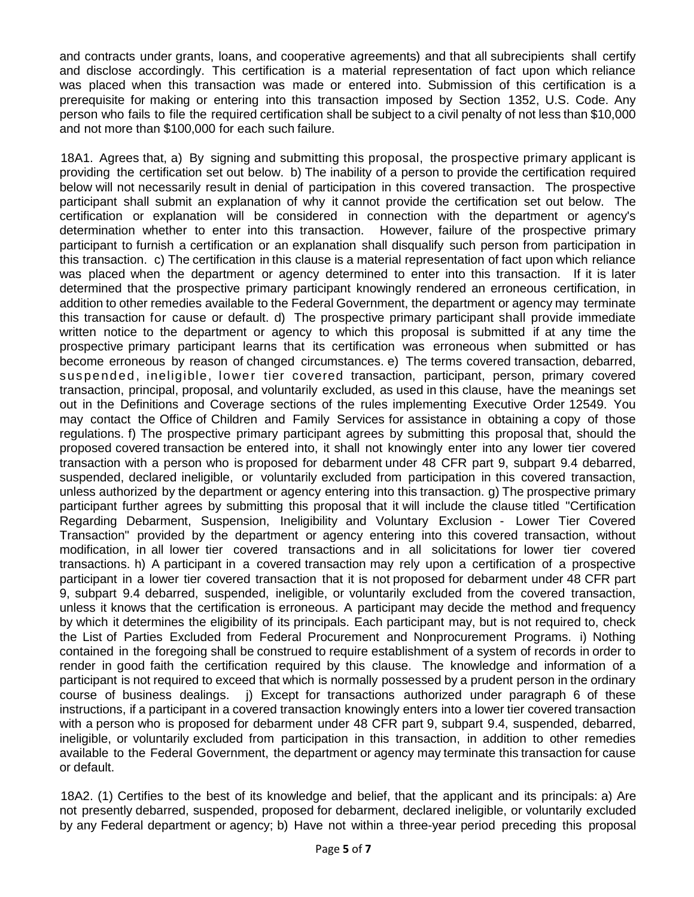and contracts under grants, loans, and cooperative agreements) and that all subrecipients shall certify and disclose accordingly. This certification is a material representation of fact upon which reliance was placed when this transaction was made or entered into. Submission of this certification is a prerequisite for making or entering into this transaction imposed by Section 1352, U.S. Code. Any person who fails to file the required certification shall be subject to a civil penalty of not less than \$10,000 and not more than \$100,000 for each such failure.

18A1. Agrees that, a) By signing and submitting this proposal, the prospective primary applicant is providing the certification set out below. b) The inability of a person to provide the certification required below will not necessarily result in denial of participation in this covered transaction. The prospective participant shall submit an explanation of why it cannot provide the certification set out below. The certification or explanation will be considered in connection with the department or agency's determination whether to enter into this transaction. However, failure of the prospective primary participant to furnish a certification or an explanation shall disqualify such person from participation in this transaction. c) The certification in this clause is a material representation of fact upon which reliance was placed when the department or agency determined to enter into this transaction. If it is later determined that the prospective primary participant knowingly rendered an erroneous certification, in addition to other remedies available to the Federal Government, the department or agency may terminate this transaction for cause or default. d) The prospective primary participant shall provide immediate written notice to the department or agency to which this proposal is submitted if at any time the prospective primary participant learns that its certification was erroneous when submitted or has become erroneous by reason of changed circumstances. e) The terms covered transaction, debarred, suspended, ineligible, lower tier covered transaction, participant, person, primary covered transaction, principal, proposal, and voluntarily excluded, as used in this clause, have the meanings set out in the Definitions and Coverage sections of the rules implementing Executive Order 12549. You may contact the Office of Children and Family Services for assistance in obtaining a copy of those regulations. f) The prospective primary participant agrees by submitting this proposal that, should the proposed covered transaction be entered into, it shall not knowingly enter into any lower tier covered transaction with a person who is proposed for debarment under 48 CFR part 9, subpart 9.4 debarred, suspended, declared ineligible, or voluntarily excluded from participation in this covered transaction, unless authorized by the department or agency entering into this transaction. g) The prospective primary participant further agrees by submitting this proposal that it will include the clause titled "Certification Regarding Debarment, Suspension, Ineligibility and Voluntary Exclusion - Lower Tier Covered Transaction" provided by the department or agency entering into this covered transaction, without modification, in all lower tier covered transactions and in all solicitations for lower tier covered transactions. h) A participant in a covered transaction may rely upon a certification of a prospective participant in a lower tier covered transaction that it is not proposed for debarment under 48 CFR part 9, subpart 9.4 debarred, suspended, ineligible, or voluntarily excluded from the covered transaction, unless it knows that the certification is erroneous. A participant may decide the method and frequency by which it determines the eligibility of its principals. Each participant may, but is not required to, check the List of Parties Excluded from Federal Procurement and Nonprocurement Programs. i) Nothing contained in the foregoing shall be construed to require establishment of a system of records in order to render in good faith the certification required by this clause. The knowledge and information of a participant is not required to exceed that which is normally possessed by a prudent person in the ordinary course of business dealings. j) Except for transactions authorized under paragraph 6 of these instructions, if a participant in a covered transaction knowingly enters into a lower tier covered transaction with a person who is proposed for debarment under 48 CFR part 9, subpart 9.4, suspended, debarred, ineligible, or voluntarily excluded from participation in this transaction, in addition to other remedies available to the Federal Government, the department or agency may terminate this transaction for cause or default.

18A2. (1) Certifies to the best of its knowledge and belief, that the applicant and its principals: a) Are not presently debarred, suspended, proposed for debarment, declared ineligible, or voluntarily excluded by any Federal department or agency; b) Have not within a three-year period preceding this proposal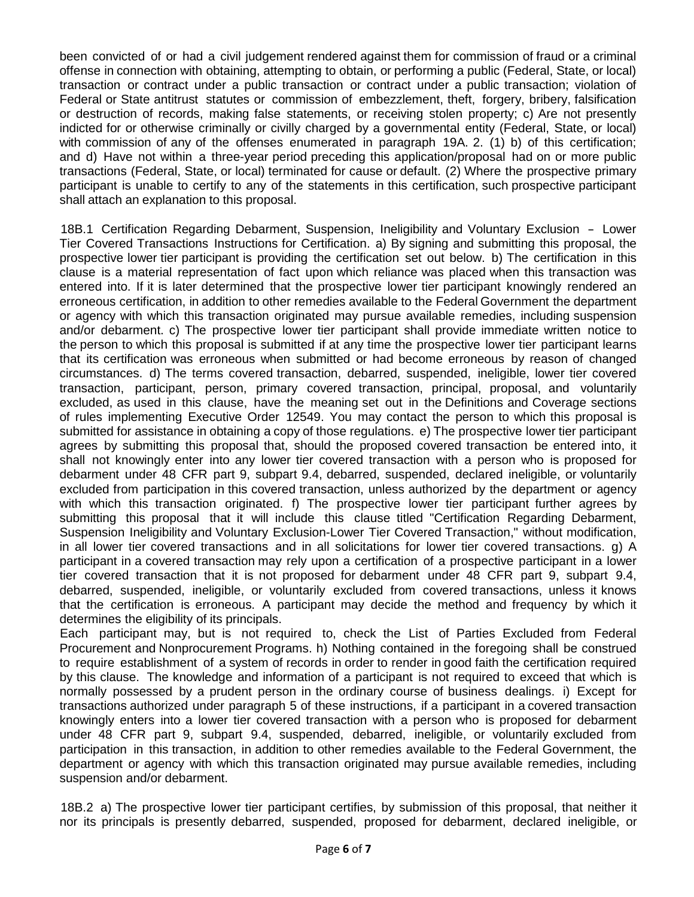been convicted of or had a civil judgement rendered against them for commission of fraud or a criminal offense in connection with obtaining, attempting to obtain, or performing a public (Federal, State, or local) transaction or contract under a public transaction or contract under a public transaction; violation of Federal or State antitrust statutes or commission of embezzlement, theft, forgery, bribery, falsification or destruction of records, making false statements, or receiving stolen property; c) Are not presently indicted for or otherwise criminally or civilly charged by a governmental entity (Federal, State, or local) with commission of any of the offenses enumerated in paragraph 19A. 2. (1) b) of this certification; and d) Have not within a three-year period preceding this application/proposal had on or more public transactions (Federal, State, or local) terminated for cause or default. (2) Where the prospective primary participant is unable to certify to any of the statements in this certification, such prospective participant shall attach an explanation to this proposal.

18B.1 Certification Regarding Debarment, Suspension, Ineligibility and Voluntary Exclusion - Lower Tier Covered Transactions Instructions for Certification. a) By signing and submitting this proposal, the prospective lower tier participant is providing the certification set out below. b) The certification in this clause is a material representation of fact upon which reliance was placed when this transaction was entered into. If it is later determined that the prospective lower tier participant knowingly rendered an erroneous certification, in addition to other remedies available to the Federal Government the department or agency with which this transaction originated may pursue available remedies, including suspension and/or debarment. c) The prospective lower tier participant shall provide immediate written notice to the person to which this proposal is submitted if at any time the prospective lower tier participant learns that its certification was erroneous when submitted or had become erroneous by reason of changed circumstances. d) The terms covered transaction, debarred, suspended, ineligible, lower tier covered transaction, participant, person, primary covered transaction, principal, proposal, and voluntarily excluded, as used in this clause, have the meaning set out in the Definitions and Coverage sections of rules implementing Executive Order 12549. You may contact the person to which this proposal is submitted for assistance in obtaining a copy of those regulations. e) The prospective lower tier participant agrees by submitting this proposal that, should the proposed covered transaction be entered into, it shall not knowingly enter into any lower tier covered transaction with a person who is proposed for debarment under 48 CFR part 9, subpart 9.4, debarred, suspended, declared ineligible, or voluntarily excluded from participation in this covered transaction, unless authorized by the department or agency with which this transaction originated. f) The prospective lower tier participant further agrees by submitting this proposal that it will include this clause titled "Certification Regarding Debarment, Suspension Ineligibility and Voluntary Exclusion-Lower Tier Covered Transaction," without modification, in all lower tier covered transactions and in all solicitations for lower tier covered transactions. g) A participant in a covered transaction may rely upon a certification of a prospective participant in a lower tier covered transaction that it is not proposed for debarment under 48 CFR part 9, subpart 9.4, debarred, suspended, ineligible, or voluntarily excluded from covered transactions, unless it knows that the certification is erroneous. A participant may decide the method and frequency by which it determines the eligibility of its principals.

Each participant may, but is not required to, check the List of Parties Excluded from Federal Procurement and Nonprocurement Programs. h) Nothing contained in the foregoing shall be construed to require establishment of a system of records in order to render in good faith the certification required by this clause. The knowledge and information of a participant is not required to exceed that which is normally possessed by a prudent person in the ordinary course of business dealings. i) Except for transactions authorized under paragraph 5 of these instructions, if a participant in a covered transaction knowingly enters into a lower tier covered transaction with a person who is proposed for debarment under 48 CFR part 9, subpart 9.4, suspended, debarred, ineligible, or voluntarily excluded from participation in this transaction, in addition to other remedies available to the Federal Government, the department or agency with which this transaction originated may pursue available remedies, including suspension and/or debarment.

18B.2 a) The prospective lower tier participant certifies, by submission of this proposal, that neither it nor its principals is presently debarred, suspended, proposed for debarment, declared ineligible, or